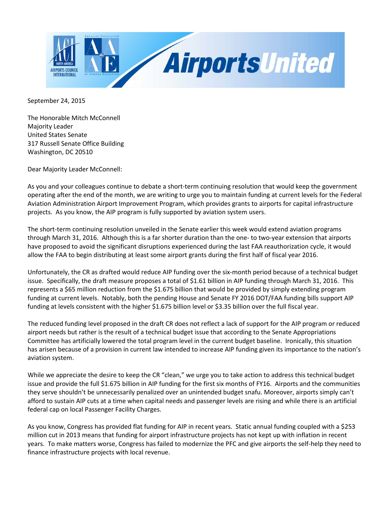

September 24, 2015

The Honorable Mitch McConnell Majority Leader United States Senate 317 Russell Senate Office Building Washington, DC 20510

Dear Majority Leader McConnell:

As you and your colleagues continue to debate a short-term continuing resolution that would keep the government operating after the end of the month, we are writing to urge you to maintain funding at current levels for the Federal Aviation Administration Airport Improvement Program, which provides grants to airports for capital infrastructure projects. As you know, the AIP program is fully supported by aviation system users.

The short-term continuing resolution unveiled in the Senate earlier this week would extend aviation programs through March 31, 2016. Although this is a far shorter duration than the one- to two-year extension that airports have proposed to avoid the significant disruptions experienced during the last FAA reauthorization cycle, it would allow the FAA to begin distributing at least some airport grants during the first half of fiscal year 2016.

Unfortunately, the CR as drafted would reduce AIP funding over the six-month period because of a technical budget issue. Specifically, the draft measure proposes a total of \$1.61 billion in AIP funding through March 31, 2016. This represents a \$65 million reduction from the \$1.675 billion that would be provided by simply extending program funding at current levels. Notably, both the pending House and Senate FY 2016 DOT/FAA funding bills support AIP funding at levels consistent with the higher \$1.675 billion level or \$3.35 billion over the full fiscal year.

The reduced funding level proposed in the draft CR does not reflect a lack of support for the AIP program or reduced airport needs but rather is the result of a technical budget issue that according to the Senate Appropriations Committee has artificially lowered the total program level in the current budget baseline. Ironically, this situation has arisen because of a provision in current law intended to increase AIP funding given its importance to the nation's aviation system.

While we appreciate the desire to keep the CR "clean," we urge you to take action to address this technical budget issue and provide the full \$1.675 billion in AIP funding for the first six months of FY16. Airports and the communities they serve shouldn't be unnecessarily penalized over an unintended budget snafu. Moreover, airports simply can't afford to sustain AIP cuts at a time when capital needs and passenger levels are rising and while there is an artificial federal cap on local Passenger Facility Charges.

As you know, Congress has provided flat funding for AIP in recent years. Static annual funding coupled with a \$253 million cut in 2013 means that funding for airport infrastructure projects has not kept up with inflation in recent years. To make matters worse, Congress has failed to modernize the PFC and give airports the self-help they need to finance infrastructure projects with local revenue.